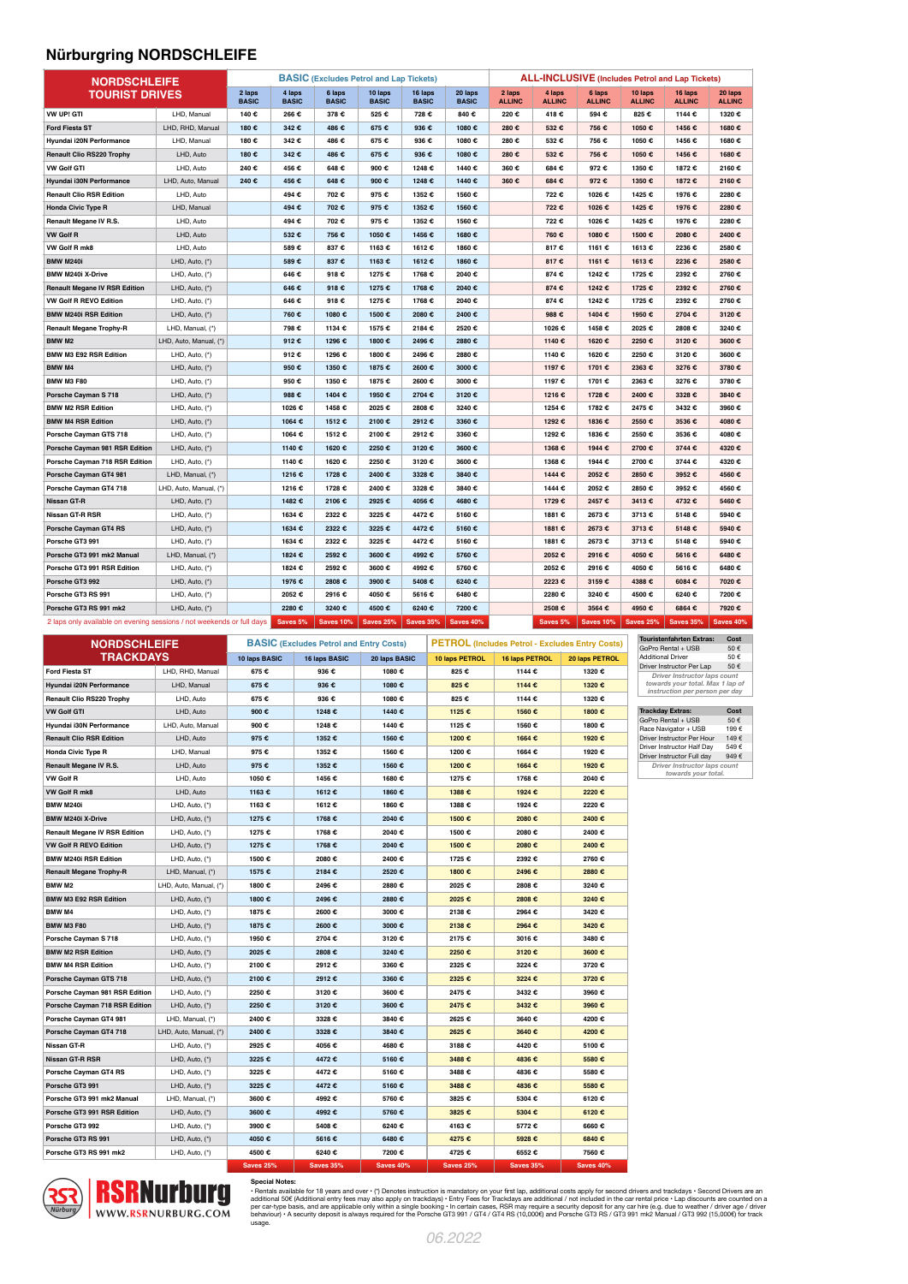## **Nürburgring NORDSCHLEIFE**

| <b>NORDSCHLEIFE</b>                                                   |                        |                        | <b>BASIC</b> (Excludes Petrol and Lap Tickets) |                        |                         |                         | <b>ALL-INCLUSIVE</b> (Includes Petrol and Lap Tickets) |                         |                         |                         |                          |                          |                          |
|-----------------------------------------------------------------------|------------------------|------------------------|------------------------------------------------|------------------------|-------------------------|-------------------------|--------------------------------------------------------|-------------------------|-------------------------|-------------------------|--------------------------|--------------------------|--------------------------|
| <b>TOURIST DRIVES</b>                                                 |                        | 2 laps<br><b>BASIC</b> | 4 laps<br><b>BASIC</b>                         | 6 laps<br><b>BASIC</b> | 10 laps<br><b>BASIC</b> | 16 laps<br><b>BASIC</b> | 20 laps<br><b>BASIC</b>                                | 2 laps<br><b>ALLINC</b> | 4 laps<br><b>ALLINC</b> | 6 laps<br><b>ALLINC</b> | 10 laps<br><b>ALLINC</b> | 16 laps<br><b>ALLINC</b> | 20 laps<br><b>ALLINC</b> |
| VW UP! GTI                                                            | LHD, Manual            | 140€                   | 266€                                           | 378€                   | 525€                    | 728€                    | 840€                                                   | 220€                    | 418€                    | 594€                    | 825 €                    | 1144 €                   | 1320€                    |
| <b>Ford Fiesta ST</b>                                                 | LHD, RHD, Manual       | 180 €                  | 342€                                           | 486€                   | 675€                    | 936€                    | 1080€                                                  | 280 €                   | 532€                    | 756 €                   | 1050€                    | 1456€                    | 1680€                    |
| Hyundai i20N Performance                                              | LHD, Manual            | 180€                   | 342€                                           | 486€                   | 675€                    | 936€                    | 1080€                                                  | 280€                    | 532€                    | 756 €                   | 1050€                    | 1456 €                   | 1680€                    |
| <b>Renault Clio RS220 Trophy</b>                                      | LHD, Auto              | 180€                   | 342€                                           | 486€                   | 675€                    | 936€                    | 1080€                                                  | 280 €                   | 532€                    | 756 €                   | 1050€                    | 1456 €                   | 1680€                    |
| <b>VW Golf GTI</b>                                                    | LHD, Auto              | 240€                   | 456 €                                          | 648€                   | 900€                    | 1248€                   | 1440€                                                  | 360€                    | 684€                    | 972€                    | 1350€                    | 1872€                    | 2160€                    |
| Hyundai i30N Performance                                              | LHD, Auto, Manual      | 240€                   | 456 €                                          | 648€                   | 900€                    | 1248€                   | 1440€                                                  | 360 €                   | 684€                    | 972 €                   | 1350€                    | 1872 €                   | 2160€                    |
| <b>Renault Clio RSR Edition</b>                                       | LHD, Auto              |                        | 494 €                                          | 702€                   | 975€                    | 1352€                   | 1560€                                                  |                         | 722€                    | 1026 €                  | 1425€                    | 1976€                    | 2280€                    |
| <b>Honda Civic Type R</b>                                             | LHD, Manual            |                        | 494 €                                          | 702€                   | 975 €                   | 1352 €                  | 1560€                                                  |                         | 722 €                   | 1026 €                  | 1425€                    | 1976€                    | 2280€                    |
| Renault Megane IV R.S.                                                | LHD, Auto              |                        | 494 €                                          | 702€                   | 975€                    | 1352€                   | 1560€                                                  |                         | 722€                    | 1026 €                  | 1425€                    | 1976€                    | 2280€                    |
| <b>VW Golf R</b>                                                      | LHD, Auto              |                        | 532€                                           | 756 €                  | 1050€                   | 1456€                   | 1680€                                                  |                         | 760€                    | 1080€                   | 1500€                    | 2080€                    | 2400€                    |
| VW Golf R mk8                                                         | LHD, Auto              |                        | 589€                                           | 837€                   | 1163 €                  | 1612€                   | 1860€                                                  |                         | 817€                    | 1161 €                  | 1613€                    | 2236 €                   | 2580€                    |
| <b>BMW M240i</b>                                                      | LHD, Auto, (*)         |                        | 589€                                           | 837€                   | 1163 €                  | 1612€                   | 1860€                                                  |                         | 817€                    | 1161 €                  | 1613€                    | 2236 €                   | 2580€                    |
| <b>BMW M240i X-Drive</b>                                              | LHD, Auto, (*)         |                        | 646€                                           | 918€                   | 1275 €                  | 1768€                   | 2040€                                                  |                         | 874 €                   | 1242 €                  | 1725€                    | 2392 €                   | 2760€                    |
| <b>Renault Megane IV RSR Edition</b>                                  | LHD, Auto, (*)         |                        | 646 €                                          | 918€                   | 1275 €                  | 1768€                   | 2040€                                                  |                         | 874 €                   | 1242 €                  | 1725 €                   | 2392€                    | 2760€                    |
| VW Golf R REVO Edition                                                | LHD, Auto, (*)         |                        | 646€                                           | 918€                   | 1275 €                  | 1768€                   | 2040€                                                  |                         | 874€                    | 1242 €                  | 1725€                    | 2392 €                   | 2760€                    |
| <b>BMW M240i RSR Edition</b>                                          | LHD, Auto, (*)         |                        | 760 €                                          | 1080€                  | 1500 €                  | 2080€                   | 2400€                                                  |                         | 988 €                   | 1404 €                  | 1950€                    | 2704 €                   | 3120€                    |
| <b>Renault Megane Trophy-R</b>                                        | LHD, Manual, (*)       |                        | 798€                                           | 1134 €                 | 1575 €                  | 2184€                   | 2520€                                                  |                         | 1026€                   | 1458€                   | 2025€                    | 2808€                    | 3240€                    |
| BMW M2                                                                | LHD, Auto, Manual, (*) |                        | 912€                                           | 1296€                  | 1800€                   | 2496€                   | 2880€                                                  |                         | 1140€                   | 1620€                   | 2250€                    | 3120€                    | 3600€                    |
| <b>BMW M3 E92 RSR Edition</b>                                         | LHD, Auto, (*)         |                        | 912€                                           | 1296€                  | 1800€                   | 2496€                   | 2880€                                                  |                         | 1140€                   | 1620€                   | 2250€                    | 3120€                    | 3600€                    |
| <b>BMW M4</b>                                                         | LHD, Auto, (*)         |                        | 950€                                           | 1350€                  | 1875 €                  | 2600€                   | 3000 €                                                 |                         | 1197 €                  | 1701 €                  | 2363€                    | 3276 €                   | 3780€                    |
| <b>BMW M3 F80</b>                                                     | LHD, Auto, (*)         |                        | 950€                                           | 1350€                  | 1875 €                  | 2600€                   | 3000€                                                  |                         | 1197€                   | 1701 €                  | 2363€                    | 3276 €                   | 3780€                    |
| Porsche Cayman S 718                                                  | LHD, Auto, (*)         |                        | 988€                                           | 1404€                  | 1950€                   | 2704€                   | 3120€                                                  |                         | 1216€                   | 1728 €                  | 2400€                    | 3328 €                   | 3840 €                   |
| <b>BMW M2 RSR Edition</b>                                             | LHD, Auto, (*)         |                        | 1026€                                          | 1458€                  | 2025 €                  | 2808€                   | 3240€                                                  |                         | 1254 €                  | 1782 €                  | 2475€                    | 3432 €                   | 3960€                    |
| <b>BMW M4 RSR Edition</b>                                             | LHD, Auto, (*)         |                        | 1064€                                          | 1512€                  | 2100€                   | 2912€                   | 3360 €                                                 |                         | 1292€                   | 1836 €                  | 2550€                    | 3536 €                   | 4080€                    |
| Porsche Cayman GTS 718                                                | LHD, Auto, (*)         |                        | 1064€                                          | 1512€                  | 2100€                   | 2912€                   | 3360 €                                                 |                         | 1292€                   | 1836 €                  | 2550€                    | 3536 €                   | 4080€                    |
| Porsche Cayman 981 RSR Edition                                        | LHD, Auto, (*)         |                        | 1140€                                          | 1620€                  | 2250€                   | 3120€                   | 3600€                                                  |                         | 1368€                   | 1944€                   | 2700€                    | 3744 €                   | 4320€                    |
| Porsche Cayman 718 RSR Edition                                        | LHD, Auto, (*)         |                        | 1140€                                          | 1620€                  | 2250€                   | 3120€                   | 3600€                                                  |                         | 1368€                   | 1944 €                  | 2700€                    | 3744 €                   | 4320€                    |
| Porsche Cayman GT4 981                                                | LHD, Manual, (*)       |                        | 1216€                                          | 1728€                  | 2400€                   | 3328 €                  | 3840€                                                  |                         | 1444 €                  | 2052€                   | 2850€                    | 3952€                    | 4560€                    |
| Porsche Cayman GT4 718                                                | LHD, Auto, Manual, (*) |                        | 1216€                                          | 1728€                  | 2400€                   | 3328 €                  | 3840€                                                  |                         | 1444 €                  | 2052€                   | 2850€                    | 3952€                    | 4560€                    |
| Nissan GT-R                                                           | LHD, Auto, (*)         |                        | 1482 €                                         | 2106€                  | 2925 €                  | 4056€                   | 4680€                                                  |                         | 1729€                   | 2457€                   | 3413€                    | 4732€                    | 5460€                    |
| Nissan GT-R RSR                                                       | LHD, Auto, (*)         |                        | 1634€                                          | 2322€                  | 3225 €                  | 4472€                   | 5160€                                                  |                         | 1881 €                  | 2673 €                  | 3713€                    | 5148€                    | 5940€                    |
| Porsche Cayman GT4 RS                                                 | LHD, Auto, (*)         |                        | 1634 €                                         | 2322€                  | 3225 €                  | 4472€                   | 5160€                                                  |                         | 1881 €                  | 2673 €                  | 3713€                    | 5148€                    | 5940€                    |
| Porsche GT3 991                                                       | LHD, Auto, (*)         |                        | 1634 €                                         | 2322€                  | 3225 €                  | 4472€                   | 5160€                                                  |                         | 1881 €                  | 2673€                   | 3713€                    | 5148€                    | 5940€                    |
| Porsche GT3 991 mk2 Manual                                            | LHD, Manual, (*)       |                        | 1824 €                                         | 2592€                  | 3600€                   | 4992€                   | 5760 €                                                 |                         | 2052€                   | 2916€                   | 4050€                    | 5616€                    | 6480€                    |
| Porsche GT3 991 RSR Edition                                           | LHD, Auto, (*)         |                        | 1824 €                                         | 2592€                  | 3600 €                  | 4992€                   | 5760€                                                  |                         | 2052€                   | 2916€                   | 4050€                    | 5616€                    | 6480€                    |
| Porsche GT3 992                                                       | LHD, Auto, (*)         |                        | 1976 €                                         | 2808€                  | 3900 €                  | 5408€                   | 6240€                                                  |                         | 2223€                   | 3159€                   | 4388€                    | 6084€                    | 7020€                    |
| Porsche GT3 RS 991                                                    | LHD, Auto, (*)         |                        | 2052€                                          | 2916€                  | 4050€                   | 5616€                   | 6480€                                                  |                         | 2280€                   | 3240 €                  | 4500€                    | 6240€                    | 7200€                    |
| Porsche GT3 RS 991 mk2                                                | LHD, Auto, (*)         |                        | 2280€                                          | 3240€                  | 4500 €                  | 6240€                   | 7200€                                                  |                         | 2508€                   | 3564 €                  | 4950€                    | 6864€                    | 7920€                    |
| 2 laps only available on evening sessions / not weekends or full days |                        |                        | Saves 5%                                       | <b>Saves 10%</b>       | <b>Saves 25%</b>        | <b>Saves 35%</b>        | <b>Saves 40%</b>                                       |                         | Saves 5%                | <b>Saves 10%</b>        | <b>Saves 25%</b>         | <b>Saves 35%</b>         | Saves 40%                |

| <b>NORDSCHLEIFE</b>                  |                        |               | <b>BASIC</b> (Excludes Petrol and Entry Costs) |               | <b>PETROL</b> (Includes Petrol - Excludes Entry Costs) |                       |                |  |
|--------------------------------------|------------------------|---------------|------------------------------------------------|---------------|--------------------------------------------------------|-----------------------|----------------|--|
| <b>TRACKDAYS</b>                     |                        | 10 laps BASIC | 16 laps BASIC                                  | 20 laps BASIC | 10 laps PETROL                                         | <b>16 laps PETROL</b> | 20 laps PETROL |  |
| Ford Fiesta ST                       | LHD, RHD, Manual       | 675 €         | 936 €                                          | 1080€         | 825 €                                                  | 1144€                 | 1320€          |  |
| Hyundai i20N Performance             | LHD, Manual            | 675 €         | 936 €                                          | 1080€         | 825 €                                                  | 1144€                 | 1320€          |  |
| <b>Renault Clio RS220 Trophy</b>     | LHD, Auto              | 675€          | 936 €                                          | 1080€         | 825€                                                   | 1144 €                | 1320€          |  |
| <b>VW Golf GTI</b>                   | LHD, Auto              | 900 €         | 1248€                                          | 1440€         | 1125 €                                                 | 1560€                 | 1800€          |  |
| Hyundai i30N Performance             | LHD, Auto, Manual      | 900€          | 1248€                                          | 1440€         | 1125 €                                                 | 1560€                 | 1800€          |  |
| <b>Renault Clio RSR Edition</b>      | LHD, Auto              | 975 €         | 1352€                                          | 1560€         | 1200€                                                  | 1664€                 | 1920€          |  |
| <b>Honda Civic Type R</b>            | LHD, Manual            | 975 €         | 1352€                                          | 1560€         | 1200€                                                  | 1664€                 | 1920€          |  |
| Renault Megane IV R.S.               | LHD, Auto              | 975 €         | 1352 €                                         | 1560€         | 1200€                                                  | 1664€                 | 1920€          |  |
| <b>VW Golf R</b>                     | LHD, Auto              | 1050€         | 1456€                                          | 1680€         | 1275 €                                                 | 1768€                 | 2040€          |  |
| VW Golf R mk8                        | LHD, Auto              | 1163 €        | 1612€                                          | 1860€         | 1388€                                                  | 1924€                 | 2220€          |  |
| <b>BMW M240i</b>                     | LHD, Auto, (*)         | 1163 €        | 1612€                                          | 1860€         | 1388€                                                  | 1924€                 | 2220€          |  |
| <b>BMW M240i X-Drive</b>             | LHD, Auto, (*)         | 1275 €        | 1768€                                          | 2040€         | 1500€                                                  | 2080€                 | 2400€          |  |
| <b>Renault Megane IV RSR Edition</b> | LHD, Auto, (*)         | 1275 €        | 1768€                                          | 2040€         | 1500€                                                  | 2080€                 | 2400€          |  |
| <b>VW Golf R REVO Edition</b>        | LHD, Auto, (*)         | 1275 €        | 1768€                                          | 2040€         | 1500€                                                  | 2080€                 | 2400€          |  |
| <b>BMW M240i RSR Edition</b>         | LHD, Auto, (*)         | 1500€         | 2080€                                          | 2400€         | 1725€                                                  | 2392€                 | 2760€          |  |
| <b>Renault Megane Trophy-R</b>       | LHD, Manual, (*)       | 1575 €        | 2184€                                          | 2520€         | 1800€                                                  | 2496€                 | 2880€          |  |
| BMW <sub>M2</sub>                    | LHD, Auto, Manual, (*) | 1800€         | 2496€                                          | 2880€         | 2025€                                                  | 2808€                 | 3240€          |  |
| <b>BMW M3 E92 RSR Edition</b>        | LHD, Auto, (*)         | 1800€         | 2496€                                          | 2880€         | 2025€                                                  | 2808€                 | 3240€          |  |
| <b>BMW M4</b>                        | LHD, Auto, (*)         | 1875€         | 2600€                                          | 3000€         | 2138€                                                  | 2964€                 | 3420€          |  |
| <b>BMW M3 F80</b>                    | LHD, Auto, (*)         | 1875€         | 2600€                                          | 3000€         | 2138€                                                  | 2964€                 | 3420€          |  |
| Porsche Cayman S 718                 | LHD, Auto, (*)         | 1950€         | 2704 €                                         | 3120€         | 2175€                                                  | 3016€                 | 3480€          |  |
| <b>BMW M2 RSR Edition</b>            | LHD, Auto, (*)         | 2025€         | 2808€                                          | 3240€         | 2250€                                                  | 3120€                 | 3600€          |  |
| <b>BMW M4 RSR Edition</b>            | LHD, Auto, (*)         | 2100€         | 2912€                                          | 3360€         | 2325€                                                  | 3224 €                | 3720€          |  |
| Porsche Cayman GTS 718               | LHD, Auto, (*)         | 2100€         | 2912€                                          | 3360€         | 2325€                                                  | 3224 €                | 3720€          |  |
| Porsche Cayman 981 RSR Edition       | LHD, Auto, (*)         | 2250€         | 3120€                                          | 3600€         | 2475€                                                  | 3432€                 | 3960€          |  |
| Porsche Cayman 718 RSR Edition       | LHD, Auto, (*)         | 2250€         | 3120€                                          | 3600€         | 2475€                                                  | 3432€                 | 3960€          |  |
| Porsche Cayman GT4 981               | LHD, Manual, (*)       | 2400€         | 3328 €                                         | 3840€         | 2625€                                                  | 3640€                 | 4200€          |  |
| Porsche Cayman GT4 718               | LHD, Auto, Manual, (*) | 2400€         | 3328 €                                         | 3840€         | 2625€                                                  | 3640€                 | 4200€          |  |
| Nissan GT-R                          | LHD, Auto, (*)         | 2925€         | 4056€                                          | 4680€         | 3188€                                                  | 4420€                 | 5100€          |  |
| Nissan GT-R RSR                      | LHD, Auto, (*)         | 3225€         | 4472€                                          | 5160€         | 3488€                                                  | 4836€                 | 5580€          |  |
| Porsche Cayman GT4 RS                | LHD, Auto, (*)         | 3225€         | 4472€                                          | 5160€         | 3488€                                                  | 4836€                 | 5580€          |  |
| Porsche GT3 991                      | LHD, Auto, (*)         | 3225 €        | 4472€                                          | 5160€         | 3488€                                                  | 4836€                 | 5580€          |  |
| Porsche GT3 991 mk2 Manual           | LHD, Manual, (*)       | 3600€         | 4992€                                          | 5760€         | 3825 €                                                 | 5304 €                | 6120€          |  |
| Porsche GT3 991 RSR Edition          | LHD, Auto, (*)         | 3600€         | 4992€                                          | 5760€         | 3825€                                                  | 5304€                 | 6120€          |  |
| Porsche GT3 992                      | LHD, Auto, (*)         | 3900€         | 5408€                                          | 6240€         | 4163€                                                  | 5772€                 | 6660€          |  |
| Porsche GT3 RS 991                   | LHD, Auto, (*)         | 4050€         | 5616€                                          | 6480€         | 4275€                                                  | 5928€                 | 6840€          |  |
| Porsche GT3 RS 991 mk2               | LHD, Auto, (*)         | 4500€         | 6240€                                          | 7200€         | 4725€                                                  | 6552€                 | 7560€          |  |

**Touristenfahrten Extras:** Cost<br>
GoPro Rental + USB 50 €<br>
Additional Driver<br>
Driver Instructor Per Lap 50 €<br>
Driver Instructor Per Lap 50 €<br>
Driver Instructor Iaps count<br>
towards your total. Max 1 lap of<br>
Instruction per

| <b>Trackday Extras:</b>             | Cost           |  |  |  |  |  |
|-------------------------------------|----------------|--|--|--|--|--|
| GoPro Rental + USB                  | 50 $\epsilon$  |  |  |  |  |  |
| Race Navigator + USB                | 199 $\epsilon$ |  |  |  |  |  |
| Driver Instructor Per Hour          | 149 $E$        |  |  |  |  |  |
| Driver Instructor Half Dav          | 549€           |  |  |  |  |  |
| Driver Instructor Full day          | 949 $6$        |  |  |  |  |  |
| <b>Driver Instructor laps count</b> |                |  |  |  |  |  |
| towards your total.                 |                |  |  |  |  |  |



Special Notes:<br>• Rentals available for 18 years and over • (\*) Denotes instruction is mandatory on your first lap, additional costs apply for second drivers and trackdays • Second Drivers are an<br>additional 50€ (Additional

**Saves 25% Saves 35% Saves 40% Saves 25% Saves 35% Saves 40%**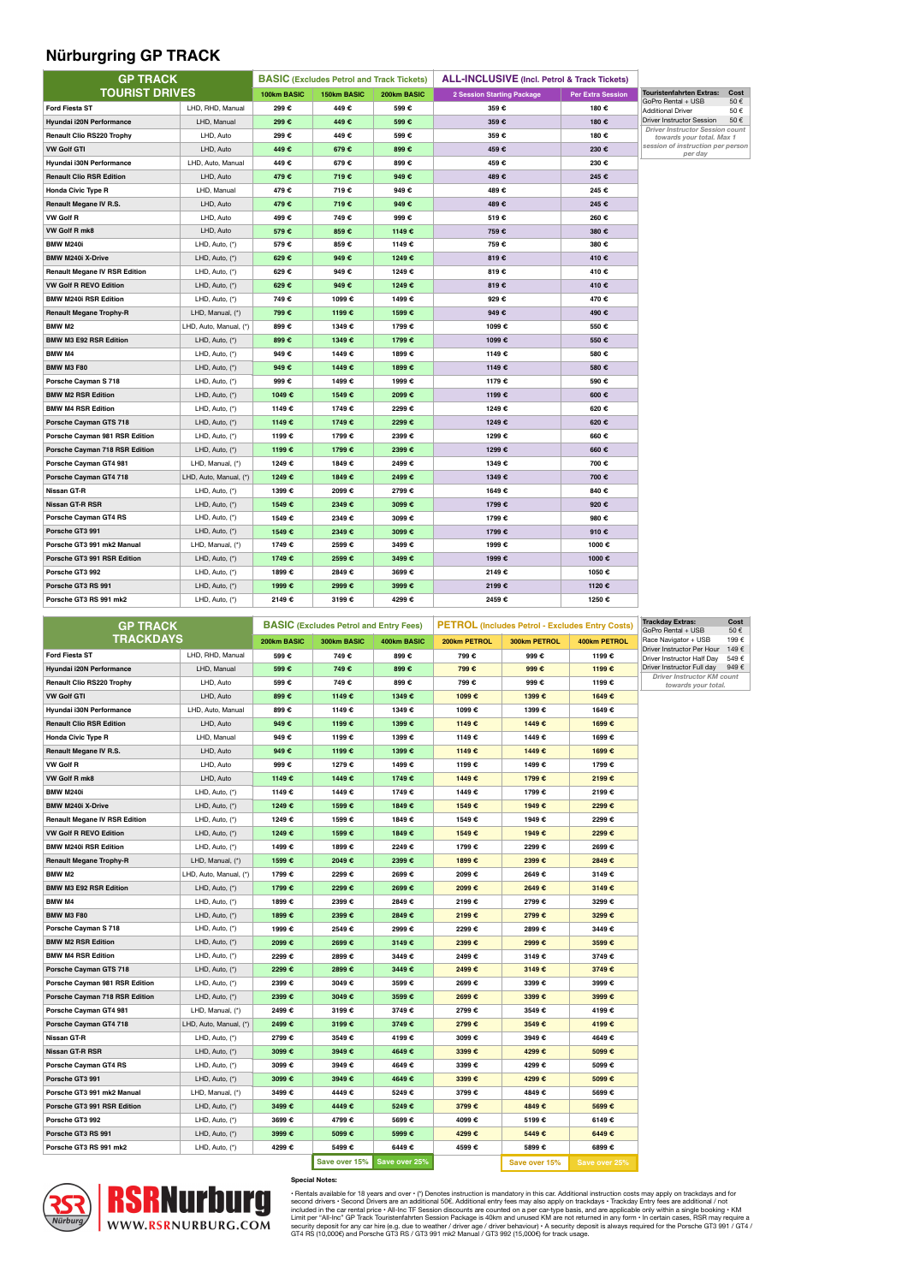## **Nürburgring GP TRACK**

| <b>GP TRACK</b>                      |                        |             | <b>BASIC</b> (Excludes Petrol and Track Tickets) |             | <b>ALL-INCLUSIVE</b> (Incl. Petrol & Track Tickets) |                          |                                                              |            |
|--------------------------------------|------------------------|-------------|--------------------------------------------------|-------------|-----------------------------------------------------|--------------------------|--------------------------------------------------------------|------------|
| <b>TOURIST DRIVES</b>                |                        | 100km BASIC | 150km BASIC                                      | 200km BASIC | <b>2 Session Starting Package</b>                   | <b>Per Extra Session</b> | <b>Touristenfahrten Extras:</b>                              | Cost       |
| <b>Ford Fiesta ST</b>                | LHD, RHD, Manual       | 299€        | 449€                                             | 599€        | 359€                                                | 180€                     | GoPro Rental + USB<br><b>Additional Driver</b>               | 50€<br>50€ |
| Hyundai i20N Performance             | LHD, Manual            | 299€        | 449€                                             | 599€        | 359€                                                | 180€                     | <b>Driver Instructor Session</b>                             | 50€        |
| Renault Clio RS220 Trophy            | LHD, Auto              | 299€        | 449€                                             | 599€        | 359€                                                | 180€                     | Driver Instructor Session count<br>towards your total. Max 1 |            |
| <b>VW Golf GTI</b>                   | LHD, Auto              | 449€        | 679€                                             | 899€        | 459€                                                | 230€                     | session of instruction per person                            |            |
| Hyundai i30N Performance             | LHD, Auto, Manual      | 449€        | 679€                                             | 899€        | 459€                                                | 230€                     | per day                                                      |            |
| <b>Renault Clio RSR Edition</b>      | LHD, Auto              | 479€        | 719€                                             | 949€        | 489€                                                | 245 €                    |                                                              |            |
| <b>Honda Civic Type R</b>            | LHD, Manual            | 479€        | 719€                                             | 949€        | 489€                                                | 245 €                    |                                                              |            |
| Renault Megane IV R.S.               | LHD, Auto              | 479€        | 719€                                             | 949€        | 489€                                                | 245 €                    |                                                              |            |
| <b>VW Golf R</b>                     | LHD, Auto              | 499€        | 749€                                             | 999€        | 519€                                                | 260€                     |                                                              |            |
| VW Golf R mk8                        | LHD, Auto              | 579€        | 859€                                             | 1149€       | 759€                                                | 380€                     |                                                              |            |
| <b>BMW M240i</b>                     | LHD, Auto, (*)         | 579€        | 859€                                             | 1149€       | 759 €                                               | 380€                     |                                                              |            |
| <b>BMW M240i X-Drive</b>             | LHD, Auto, (*)         | 629€        | 949€                                             | 1249€       | 819€                                                | 410€                     |                                                              |            |
| <b>Renault Megane IV RSR Edition</b> | LHD, Auto, (*)         | 629€        | 949€                                             | 1249€       | 819€                                                | 410€                     |                                                              |            |
| <b>VW Golf R REVO Edition</b>        | LHD, Auto, (*)         | 629€        | 949€                                             | 1249€       | 819€                                                | 410€                     |                                                              |            |
| <b>BMW M240i RSR Edition</b>         | LHD, Auto, (*)         | 749€        | 1099€                                            | 1499€       | 929€                                                | 470€                     |                                                              |            |
| <b>Renault Megane Trophy-R</b>       | LHD, Manual, (*)       | 799€        | 1199€                                            | 1599€       | 949€                                                | 490€                     |                                                              |            |
| BMW <sub>M2</sub>                    | LHD, Auto, Manual, (*) | 899€        | 1349€                                            | 1799€       | 1099€                                               | 550€                     |                                                              |            |
| BMW M3 E92 RSR Edition               | LHD, Auto, (*)         | 899€        | 1349€                                            | 1799 €      | 1099€                                               | 550€                     |                                                              |            |
| BMW M4                               | LHD, Auto, (*)         | 949€        | 1449€                                            | 1899 €      | 1149€                                               | 580€                     |                                                              |            |
| <b>BMW M3 F80</b>                    | LHD, Auto, (*)         | 949€        | 1449€                                            | 1899€       | 1149€                                               | 580€                     |                                                              |            |
| Porsche Cayman S 718                 | LHD, Auto, (*)         | 999€        | 1499€                                            | 1999€       | 1179€                                               | 590€                     |                                                              |            |
| <b>BMW M2 RSR Edition</b>            | LHD, Auto, (*)         | 1049€       | 1549€                                            | 2099€       | 1199 €                                              | 600€                     |                                                              |            |
| <b>BMW M4 RSR Edition</b>            | LHD, Auto, (*)         | 1149€       | 1749€                                            | 2299€       | 1249€                                               | 620€                     |                                                              |            |
| Porsche Cayman GTS 718               | LHD, Auto, (*)         | 1149€       | 1749€                                            | 2299€       | 1249€                                               | 620€                     |                                                              |            |
| Porsche Cayman 981 RSR Edition       | LHD, Auto, (*)         | 1199 €      | 1799€                                            | 2399€       | 1299€                                               | 660€                     |                                                              |            |
| Porsche Cayman 718 RSR Edition       | LHD, Auto, (*)         | 1199 €      | 1799€                                            | 2399 €      | 1299€                                               | 660€                     |                                                              |            |
| Porsche Cayman GT4 981               | LHD, Manual, (*)       | 1249€       | 1849€                                            | 2499€       | 1349€                                               | 700€                     |                                                              |            |
| Porsche Cayman GT4 718               | LHD, Auto, Manual, (*) | 1249€       | 1849€                                            | 2499€       | 1349€                                               | 700€                     |                                                              |            |
| Nissan GT-R                          | LHD, Auto, (*)         | 1399 €      | 2099€                                            | 2799€       | 1649€                                               | 840€                     |                                                              |            |
| Nissan GT-R RSR                      | LHD, Auto, (*)         | 1549€       | 2349€                                            | 3099€       | 1799€                                               | 920€                     |                                                              |            |
| Porsche Cayman GT4 RS                | LHD, Auto, (*)         | 1549€       | 2349€                                            | 3099€       | 1799€                                               | 980€                     |                                                              |            |
| Porsche GT3 991                      | LHD, Auto, (*)         | 1549€       | 2349€                                            | 3099€       | 1799€                                               | 910€                     |                                                              |            |
| Porsche GT3 991 mk2 Manual           | LHD, Manual, (*)       | 1749€       | 2599€                                            | 3499€       | 1999€                                               | 1000€                    |                                                              |            |
| Porsche GT3 991 RSR Edition          | LHD, Auto, (*)         | 1749 €      | 2599€                                            | 3499€       | 1999€                                               | 1000€                    |                                                              |            |
| Porsche GT3 992                      | LHD, Auto, (*)         | 1899€       | 2849€                                            | 3699€       | 2149€                                               | 1050€                    |                                                              |            |
| Porsche GT3 RS 991                   | LHD, Auto, (*)         | 1999€       | 2999€                                            | 3999€       | 2199€                                               | 1120€                    |                                                              |            |
| Porsche GT3 RS 991 mk2               | LHD, Auto, (*)         | 2149€       | 3199€                                            | 4299€       | 2459€                                               | 1250€                    |                                                              |            |

| <b>GP TRACK</b>                      |                        |             | <b>BASIC</b> (Excludes Petrol and Entry Fees) |               |              | <b>PETROL (Includes Petrol - Excludes Entry Costs)</b> | <b>Trackday Extras:</b><br>GoPro Rental + USB | Cost<br>50€                                                  |       |
|--------------------------------------|------------------------|-------------|-----------------------------------------------|---------------|--------------|--------------------------------------------------------|-----------------------------------------------|--------------------------------------------------------------|-------|
| <b>TRACKDAYS</b>                     |                        | 200km BASIC | 300km BASIC                                   | 400km BASIC   | 200km PETROL | 300km PETROL                                           | 400km PETROL                                  | Race Navigator + USB                                         | 1996  |
| <b>Ford Fiesta ST</b>                | LHD, RHD, Manual       | 599€        | 749€                                          | 899€          | 799€         | 999€                                                   | 1199 €                                        | Driver Instructor Per Hour 149<br>Driver Instructor Half Day | 549 6 |
| Hyundai i20N Performance             | LHD, Manual            | 599€        | 749€                                          | 899€          | 799€         | 999€                                                   | 1199 €                                        | Driver Instructor Full day                                   | 949   |
| <b>Renault Clio RS220 Trophy</b>     | LHD, Auto              | 599€        | 749€                                          | 899€          | 799€         | 999€                                                   | 1199 €                                        | Driver Instructor KM count<br>towards your total.            |       |
| <b>VW Golf GTI</b>                   | LHD, Auto              | 899€        | 1149€                                         | 1349€         | 1099€        | 1399 €                                                 | 1649€                                         |                                                              |       |
| Hyundai i30N Performance             | LHD, Auto, Manual      | 899€        | 1149€                                         | 1349€         | 1099€        | 1399 €                                                 | 1649€                                         |                                                              |       |
| <b>Renault Clio RSR Edition</b>      | LHD, Auto              | 949€        | 1199€                                         | 1399 €        | 1149€        | 1449€                                                  | 1699€                                         |                                                              |       |
| <b>Honda Civic Type R</b>            | LHD, Manual            | 949€        | 1199€                                         | 1399 €        | 1149€        | 1449€                                                  | 1699€                                         |                                                              |       |
| Renault Megane IV R.S.               | LHD, Auto              | 949€        | 1199 €                                        | 1399 €        | 1149€        | 1449€                                                  | 1699€                                         |                                                              |       |
| VW Golf R                            | LHD, Auto              | 999€        | 1279€                                         | 1499€         | 1199€        | 1499€                                                  | 1799 €                                        |                                                              |       |
| VW Golf R mk8                        | LHD, Auto              | 1149€       | 1449€                                         | 1749€         | 1449€        | 1799€                                                  | 2199€                                         |                                                              |       |
| <b>BMW M240i</b>                     | LHD, Auto, (*)         | 1149€       | 1449€                                         | 1749 €        | 1449€        | 1799 €                                                 | 2199€                                         |                                                              |       |
| <b>BMW M240i X-Drive</b>             | LHD, Auto, (*)         | 1249€       | 1599€                                         | 1849€         | 1549€        | 1949€                                                  | 2299€                                         |                                                              |       |
| <b>Renault Megane IV RSR Edition</b> | LHD, Auto, (*)         | 1249€       | 1599€                                         | 1849€         | 1549€        | 1949€                                                  | 2299€                                         |                                                              |       |
| VW Golf R REVO Edition               | LHD, Auto, (*)         | 1249€       | 1599€                                         | 1849€         | 1549€        | 1949€                                                  | 2299€                                         |                                                              |       |
| <b>BMW M240i RSR Edition</b>         | LHD, Auto, (*)         | 1499€       | 1899€                                         | 2249€         | 1799 €       | 2299€                                                  | 2699€                                         |                                                              |       |
| <b>Renault Megane Trophy-R</b>       | LHD, Manual, (*)       | 1599€       | 2049€                                         | 2399€         | 1899€        | 2399€                                                  | 2849€                                         |                                                              |       |
| BMW <sub>M2</sub>                    | LHD, Auto, Manual, (*) | 1799€       | 2299€                                         | 2699€         | 2099€        | 2649€                                                  | 3149€                                         |                                                              |       |
| BMW M3 E92 RSR Edition               | LHD, Auto, (*)         | 1799€       | 2299€                                         | 2699€         | 2099€        | 2649€                                                  | 3149€                                         |                                                              |       |
| <b>BMW M4</b>                        | LHD, Auto, (*)         | 1899€       | 2399€                                         | 2849€         | 2199€        | 2799€                                                  | 3299€                                         |                                                              |       |
| <b>BMW M3 F80</b>                    | LHD, Auto, (*)         | 1899€       | 2399€                                         | 2849€         | 2199€        | 2799 €                                                 | 3299€                                         |                                                              |       |
| Porsche Cayman S 718                 | LHD, Auto, (*)         | 1999 €      | 2549€                                         | 2999€         | 2299€        | 2899€                                                  | 3449€                                         |                                                              |       |
| <b>BMW M2 RSR Edition</b>            | LHD, Auto, (*)         | 2099€       | 2699€                                         | 3149€         | 2399€        | 2999€                                                  | 3599€                                         |                                                              |       |
| <b>BMW M4 RSR Edition</b>            | LHD, Auto, (*)         | 2299€       | 2899€                                         | 3449€         | 2499€        | 3149€                                                  | 3749€                                         |                                                              |       |
| Porsche Cayman GTS 718               | LHD, Auto, (*)         | 2299€       | 2899€                                         | 3449€         | 2499€        | 3149€                                                  | 3749€                                         |                                                              |       |
| Porsche Cayman 981 RSR Edition       | LHD, Auto, (*)         | 2399€       | 3049€                                         | 3599€         | 2699€        | 3399 €                                                 | 3999€                                         |                                                              |       |
| Porsche Cayman 718 RSR Edition       | LHD, Auto, (*)         | 2399€       | 3049€                                         | 3599 €        | 2699€        | 3399 €                                                 | 3999€                                         |                                                              |       |
| Porsche Cayman GT4 981               | LHD, Manual, (*)       | 2499€       | 3199€                                         | 3749€         | 2799€        | 3549 €                                                 | 4199€                                         |                                                              |       |
| Porsche Cayman GT4 718               | LHD, Auto, Manual, (*) | 2499€       | 3199€                                         | 3749 €        | 2799€        | 3549€                                                  | 4199€                                         |                                                              |       |
| Nissan GT-R                          | LHD, Auto, (*)         | 2799€       | 3549€                                         | 4199€         | 3099€        | 3949€                                                  | 4649€                                         |                                                              |       |
| Nissan GT-R RSR                      | LHD, Auto, (*)         | 3099€       | 3949€                                         | 4649€         | 3399€        | 4299€                                                  | 5099€                                         |                                                              |       |
| Porsche Cayman GT4 RS                | LHD, Auto, (*)         | 3099€       | 3949€                                         | 4649€         | 3399€        | 4299 €                                                 | 5099€                                         |                                                              |       |
| Porsche GT3 991                      | LHD, Auto, (*)         | 3099€       | 3949€                                         | 4649€         | 3399€        | 4299 €                                                 | 5099€                                         |                                                              |       |
| Porsche GT3 991 mk2 Manual           | LHD, Manual, (*)       | 3499€       | 4449€                                         | 5249€         | 3799€        | 4849€                                                  | 5699€                                         |                                                              |       |
| Porsche GT3 991 RSR Edition          | LHD, Auto, (*)         | 3499€       | 4449€                                         | 5249€         | 3799€        | 4849€                                                  | 5699€                                         |                                                              |       |
| Porsche GT3 992                      | LHD, Auto, (*)         | 3699€       | 4799€                                         | 5699€         | 4099€        | 5199€                                                  | 6149€                                         |                                                              |       |
| Porsche GT3 RS 991                   | LHD, Auto, (*)         | 3999€       | 5099€                                         | 5999€         | 4299€        | 5449€                                                  | 6449€                                         |                                                              |       |
| Porsche GT3 RS 991 mk2               | LHD, Auto, (*)         | 4299 €      | 5499€                                         | 6449€         | 4599€        | 5899€                                                  | 6899€                                         |                                                              |       |
|                                      |                        |             | Save over 15%                                 | Save over 25% |              | Save over 15%                                          | Save over 25%                                 |                                                              |       |



**Special Notes:** 

- Rentals available for 18 years and over (\*) Denotes instruction is mandatory in this car. Additional instruction costs may apply on the order of the second Drivers are an additional of the Second Drivers are an additiona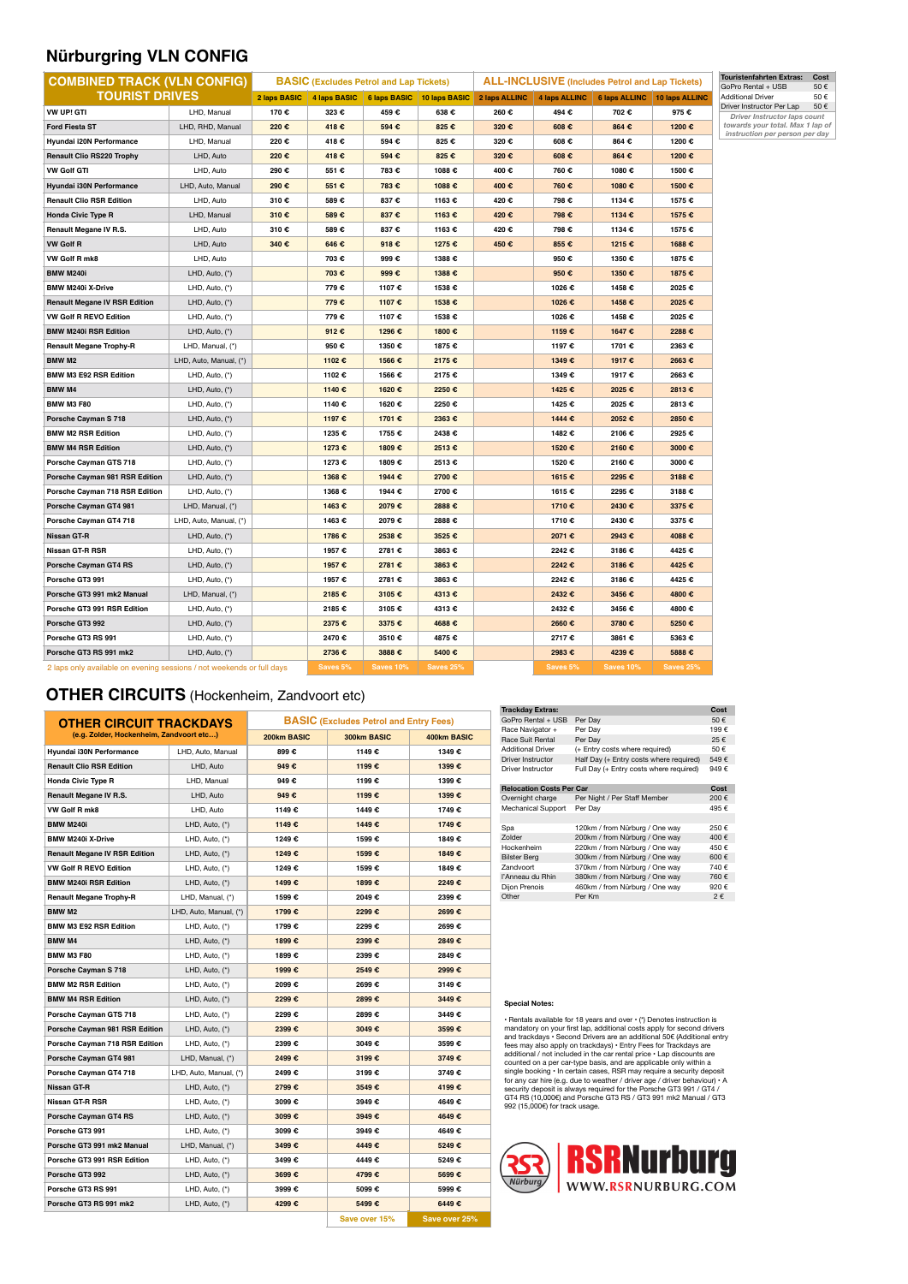## **Nürburgring VLN CONFIG**

| <b>COMBINED TRACK (VLN CONFIG)</b><br><b>BASIC</b> (Excludes Petrol and Lap Tickets) |                        | <b>ALL-INCLUSIVE</b> (Includes Petrol and Lap Tickets) |          |                  |                                                            | <b>Touristenfahrten Extras:</b><br>GoPro Rental + USB |          |                                            |                  |                                                           |
|--------------------------------------------------------------------------------------|------------------------|--------------------------------------------------------|----------|------------------|------------------------------------------------------------|-------------------------------------------------------|----------|--------------------------------------------|------------------|-----------------------------------------------------------|
| <b>TOURIST DRIVES</b>                                                                |                        |                                                        |          |                  | 2 laps BASIC   4 laps BASIC   6 laps BASIC   10 laps BASIC | 2 laps ALLINC                                         |          | 4 laps ALLINC 6 laps ALLINC 10 laps ALLINC |                  | <b>Additional Driver</b>                                  |
| VW UP! GTI                                                                           | LHD, Manual            | 170€                                                   | 323 €    | 459€             | 638€                                                       | 260€                                                  | 494€     | 702€                                       | 975€             | Driver Instructor Per Lap<br>Driver Instructor laps count |
| <b>Ford Fiesta ST</b>                                                                | LHD, RHD, Manual       | 220€                                                   | 418€     | 594€             | 825€                                                       | 320€                                                  | 608€     | 864€                                       | 1200€            | towards your total. Max 1 lap of                          |
| Hyundai i20N Performance                                                             | LHD, Manual            | 220€                                                   | 418€     | 594€             | 825€                                                       | 320€                                                  | 608€     | 864 €                                      | 1200€            | instruction per person per day                            |
| <b>Renault Clio RS220 Trophy</b>                                                     | LHD, Auto              | 220€                                                   | 418€     | 594€             | 825€                                                       | 320€                                                  | 608€     | 864€                                       | 1200€            |                                                           |
| <b>VW Golf GTI</b>                                                                   | LHD, Auto              | 290€                                                   | 551 €    | 783€             | 1088€                                                      | 400€                                                  | 760€     | 1080€                                      | 1500€            |                                                           |
| Hyundai i30N Performance                                                             | LHD, Auto, Manual      | 290€                                                   | 551 €    | 783€             | 1088€                                                      | 400€                                                  | 760€     | 1080€                                      | 1500€            |                                                           |
| <b>Renault Clio RSR Edition</b>                                                      | LHD, Auto              | 310€                                                   | 589€     | 837€             | 1163€                                                      | 420€                                                  | 798€     | 1134€                                      | 1575€            |                                                           |
| <b>Honda Civic Type R</b>                                                            | LHD, Manual            | 310€                                                   | 589€     | 837€             | 1163 €                                                     | 420€                                                  | 798 €    | 1134 €                                     | 1575€            |                                                           |
| Renault Megane IV R.S.                                                               | LHD, Auto              | 310€                                                   | 589€     | 837€             | 1163€                                                      | 420€                                                  | 798€     | 1134 €                                     | 1575€            |                                                           |
| <b>VW Golf R</b>                                                                     | LHD, Auto              | 340€                                                   | 646€     | 918€             | 1275€                                                      | 450€                                                  | 855€     | 1215 €                                     | 1688€            |                                                           |
| VW Golf R mk8                                                                        | LHD, Auto              |                                                        | 703€     | 999€             | 1388€                                                      |                                                       | 950€     | 1350€                                      | 1875€            |                                                           |
| <b>BMW M240i</b>                                                                     | LHD, Auto, (*)         |                                                        | 703 €    | 999€             | 1388€                                                      |                                                       | 950€     | 1350€                                      | 1875€            |                                                           |
| BMW M240i X-Drive                                                                    | LHD, Auto, (*)         |                                                        | 779€     | 1107 €           | 1538€                                                      |                                                       | 1026€    | 1458€                                      | 2025€            |                                                           |
| <b>Renault Megane IV RSR Edition</b>                                                 | LHD, Auto, (*)         |                                                        | 779€     | 1107€            | 1538€                                                      |                                                       | 1026€    | 1458€                                      | 2025€            |                                                           |
| VW Golf R REVO Edition                                                               | LHD, Auto, (*)         |                                                        | 779€     | 1107 €           | 1538€                                                      |                                                       | 1026€    | 1458€                                      | 2025€            |                                                           |
| <b>BMW M240i RSR Edition</b>                                                         | LHD, Auto, (*)         |                                                        | 912€     | 1296€            | 1800€                                                      |                                                       | 1159€    | 1647€                                      | 2288€            |                                                           |
| <b>Renault Megane Trophy-R</b>                                                       | LHD, Manual, (*)       |                                                        | 950€     | 1350€            | 1875€                                                      |                                                       | 1197 €   | 1701 €                                     | 2363€            |                                                           |
| <b>BMW M2</b>                                                                        | LHD, Auto, Manual, (*) |                                                        | 1102€    | 1566€            | 2175€                                                      |                                                       | 1349€    | 1917€                                      | 2663€            |                                                           |
| BMW M3 E92 RSR Edition                                                               | LHD, Auto, (*)         |                                                        | 1102€    | 1566€            | 2175€                                                      |                                                       | 1349€    | 1917€                                      | 2663€            |                                                           |
| <b>BMW M4</b>                                                                        | LHD, Auto, (*)         |                                                        | 1140€    | 1620€            | 2250€                                                      |                                                       | 1425€    | 2025€                                      | 2813€            |                                                           |
| <b>BMW M3 F80</b>                                                                    | LHD, Auto, (*)         |                                                        | 1140€    | 1620€            | 2250€                                                      |                                                       | 1425€    | 2025€                                      | 2813€            |                                                           |
| Porsche Cayman S 718                                                                 | LHD, Auto, (*)         |                                                        | 1197€    | 1701 €           | 2363€                                                      |                                                       | 1444€    | 2052€                                      | 2850€            |                                                           |
| <b>BMW M2 RSR Edition</b>                                                            | LHD, Auto, (*)         |                                                        | 1235€    | 1755€            | 2438€                                                      |                                                       | 1482€    | 2106€                                      | 2925€            |                                                           |
| <b>BMW M4 RSR Edition</b>                                                            | LHD, Auto, (*)         |                                                        | 1273€    | 1809€            | 2513€                                                      |                                                       | 1520€    | 2160€                                      | 3000€            |                                                           |
| Porsche Cayman GTS 718                                                               | LHD, Auto, (*)         |                                                        | 1273€    | 1809€            | 2513€                                                      |                                                       | 1520€    | 2160€                                      | 3000€            |                                                           |
| Porsche Cayman 981 RSR Edition                                                       | LHD, Auto, (*)         |                                                        | 1368€    | 1944€            | 2700€                                                      |                                                       | 1615€    | 2295€                                      | 3188€            |                                                           |
| Porsche Cayman 718 RSR Edition                                                       | LHD, Auto, (*)         |                                                        | 1368€    | 1944 €           | 2700€                                                      |                                                       | 1615€    | 2295€                                      | 3188€            |                                                           |
| Porsche Cayman GT4 981                                                               | LHD, Manual, (*)       |                                                        | 1463€    | 2079€            | 2888€                                                      |                                                       | 1710€    | 2430€                                      | 3375€            |                                                           |
| Porsche Cayman GT4 718                                                               | LHD, Auto, Manual, (*) |                                                        | 1463€    | 2079€            | 2888€                                                      |                                                       | 1710€    | 2430€                                      | 3375€            |                                                           |
| Nissan GT-R                                                                          | LHD, Auto, (*)         |                                                        | 1786€    | 2538€            | 3525€                                                      |                                                       | 2071€    | 2943€                                      | 4088€            |                                                           |
| Nissan GT-R RSR                                                                      | LHD, Auto, (*)         |                                                        | 1957€    | 2781 €           | 3863€                                                      |                                                       | 2242€    | 3186€                                      | 4425€            |                                                           |
| Porsche Cayman GT4 RS                                                                | LHD, Auto, (*)         |                                                        | 1957€    | 2781 €           | 3863€                                                      |                                                       | 2242€    | 3186€                                      | 4425€            |                                                           |
| Porsche GT3 991                                                                      | LHD, Auto, (*)         |                                                        | 1957€    | 2781 €           | 3863€                                                      |                                                       | 2242€    | 3186€                                      | 4425€            |                                                           |
| Porsche GT3 991 mk2 Manual                                                           | LHD, Manual, (*)       |                                                        | 2185€    | 3105€            | 4313€                                                      |                                                       | 2432€    | 3456€                                      | 4800€            |                                                           |
| Porsche GT3 991 RSR Edition                                                          | LHD, Auto, (*)         |                                                        | 2185€    | 3105€            | 4313€                                                      |                                                       | 2432€    | 3456€                                      | 4800€            |                                                           |
| Porsche GT3 992                                                                      | LHD, Auto, (*)         |                                                        | 2375€    | 3375 €           | 4688€                                                      |                                                       | 2660€    | 3780€                                      | 5250€            |                                                           |
| Porsche GT3 RS 991                                                                   | LHD, Auto, (*)         |                                                        | 2470€    | 3510€            | 4875€                                                      |                                                       | 2717€    | 3861 €                                     | 5363€            |                                                           |
| Porsche GT3 RS 991 mk2                                                               | LHD, Auto, (*)         |                                                        | 2736€    | 3888€            | 5400€                                                      |                                                       | 2983€    | 4239€                                      | 5888€            |                                                           |
| 2 laps only available on evening sessions / not weekends or full days                |                        |                                                        | Saves 5% | <b>Saves 10%</b> | Saves 25%                                                  |                                                       | Saves 5% | <b>Saves 10%</b>                           | <b>Saves 25%</b> |                                                           |

## **OTHER CIRCUITS** (Hockenheim, Zandvoort etc)

| <b>OTHER CIRCUIT TRACKDAYS</b>           |                        | <b>BASIC</b> (Excludes Petrol and Entry Fees) |               |               |  |  |  |
|------------------------------------------|------------------------|-----------------------------------------------|---------------|---------------|--|--|--|
| (e.g. Zolder, Hockenheim, Zandvoort etc) |                        | 200km BASIC                                   | 300km BASIC   | 400km BASIC   |  |  |  |
| Hyundai i30N Performance                 | LHD, Auto, Manual      | 899€                                          | 1149€         | 1349€         |  |  |  |
| <b>Renault Clio RSR Edition</b>          | LHD, Auto              | 949€                                          | 1199€         | 1399€         |  |  |  |
| <b>Honda Civic Type R</b>                | LHD, Manual            | 949€                                          | 1199€         | 1399€         |  |  |  |
| Renault Megane IV R.S.                   | LHD, Auto              | 949€                                          | 1199€         | 1399€         |  |  |  |
| VW Golf R mk8                            | LHD, Auto              | 1149€                                         | 1449€         | 1749€         |  |  |  |
| <b>BMW M240i</b>                         | LHD, Auto, (*)         | 1149€                                         | 1449€         | 1749€         |  |  |  |
| <b>BMW M240i X-Drive</b>                 | LHD, Auto, (*)         | 1249€                                         | 1599€         | 1849€         |  |  |  |
| <b>Renault Megane IV RSR Edition</b>     | LHD, Auto, (*)         | 1249€                                         | 1599€         | 1849€         |  |  |  |
| <b>VW Golf R REVO Edition</b>            | LHD, Auto, (*)         | 1249€                                         | 1599€         | 1849€         |  |  |  |
| <b>BMW M240i RSR Edition</b>             | LHD, Auto, (*)         | 1499€                                         | 1899€         | 2249€         |  |  |  |
| <b>Renault Megane Trophy-R</b>           | LHD, Manual, (*)       | 1599€                                         | 2049€         | 2399€         |  |  |  |
| <b>BMW M2</b>                            | LHD, Auto, Manual, (*) | 1799 €                                        | 2299€         | 2699€         |  |  |  |
| <b>BMW M3 E92 RSR Edition</b>            | LHD, Auto, (*)         | 1799 €                                        | 2299€         | 2699€         |  |  |  |
| <b>BMW M4</b>                            | LHD, Auto, (*)         | 1899€                                         | 2399€         | 2849€         |  |  |  |
| <b>BMW M3 F80</b>                        | LHD, Auto, (*)         | 1899€                                         | 2399€         | 2849€         |  |  |  |
| <b>Porsche Cayman S 718</b>              | LHD, Auto, (*)         | 1999€                                         | 2549€         | 2999€         |  |  |  |
| <b>BMW M2 RSR Edition</b>                | LHD, Auto, (*)         | 2099€                                         | 2699€         | 3149€         |  |  |  |
| <b>BMW M4 RSR Edition</b>                | LHD, Auto, (*)         | 2299€                                         | 2899€         | 3449€         |  |  |  |
| Porsche Cavman GTS 718                   | LHD, Auto, (*)         | 2299€                                         | 2899€         | 3449€         |  |  |  |
| Porsche Cayman 981 RSR Edition           | LHD, Auto, (*)         | 2399€                                         | 3049€         | 3599€         |  |  |  |
| Porsche Cayman 718 RSR Edition           | LHD, Auto, (*)         | 2399 €                                        | 3049€         | 3599€         |  |  |  |
| Porsche Cayman GT4 981                   | LHD, Manual, (*)       | 2499€                                         | 3199€         | 3749€         |  |  |  |
| Porsche Cayman GT4 718                   | LHD, Auto, Manual, (*) | 2499€                                         | 3199€         | 3749€         |  |  |  |
| <b>Nissan GT-R</b>                       | LHD, Auto, (*)         | 2799€                                         | 3549€         | 4199€         |  |  |  |
| Nissan GT-R RSR                          | LHD, Auto, (*)         | 3099€                                         | 3949€         | 4649€         |  |  |  |
| Porsche Cayman GT4 RS                    | LHD, Auto, (*)         | 3099€                                         | 3949€         | 4649€         |  |  |  |
| Porsche GT3 991                          | LHD, Auto, (*)         | 3099€                                         | 3949€         | 4649€         |  |  |  |
| Porsche GT3 991 mk2 Manual               | LHD, Manual, (*)       | 3499€                                         | 4449€         | 5249€         |  |  |  |
| Porsche GT3 991 RSR Edition              | LHD, Auto, (*)         | 3499€                                         | 4449€         | 5249€         |  |  |  |
| Porsche GT3 992                          | LHD, Auto, (*)         | 3699€                                         | 4799€         | 5699€         |  |  |  |
| Porsche GT3 RS 991                       | LHD, Auto, (*)         | 3999€                                         | 5099€         | 5999€         |  |  |  |
| Porsche GT3 RS 991 mk2                   | LHD, Auto, (*)         | 4299€                                         | 5499€         | 6449€         |  |  |  |
|                                          |                        |                                               | Save over 15% | Save over 25% |  |  |  |

| <b>Trackday Extras:</b>         |                                         | Cost    |
|---------------------------------|-----------------------------------------|---------|
| GoPro Rental + USB              | Per Day                                 | 50€     |
| Race Navigator +                | Per Day                                 | 199€    |
| Race Suit Rental                | Per Day                                 | 25€     |
| <b>Additional Driver</b>        | (+ Entry costs where required)          | 50€     |
| Driver Instructor               | Half Day (+ Entry costs where required) | 549€    |
| Driver Instructor               | Full Day (+ Entry costs where required) | 949€    |
|                                 |                                         |         |
| <b>Relocation Costs Per Car</b> |                                         | Cost    |
| Overnight charge                | Per Night / Per Staff Member            | 200€    |
| <b>Mechanical Support</b>       | Per Day                                 | 495€    |
|                                 |                                         |         |
| Spa                             | 120km / from Nürburg / One way          | 250€    |
| <b>Zolder</b>                   | 200km / from Nürburg / One way          | 400 €   |
| Hockenheim                      | 220km / from Nürburg / One way          | 450€    |
| <b>Bilster Berg</b>             | 300km / from Nürburg / One way          | 600 f   |
| <b>Zandvoort</b>                | 370km / from Nürburg / One way          | 740€    |
| l'Anneau du Rhin                | 380km / from Nürburg / One way          | 760€    |
| Dijon Prenois                   | 460km / from Nürburg / One way          | 920€    |
| Other                           | Per Km                                  | $2 \in$ |
|                                 |                                         |         |

### **Special Notes:**

• Rentals available for 18 years and over (\*) Denotes instruction is<br>mandatory on your first lap, additional costs apply for second drivers<br>and trackdays • Second Drivers are an additional 506 (Additional entry<br>fees may al